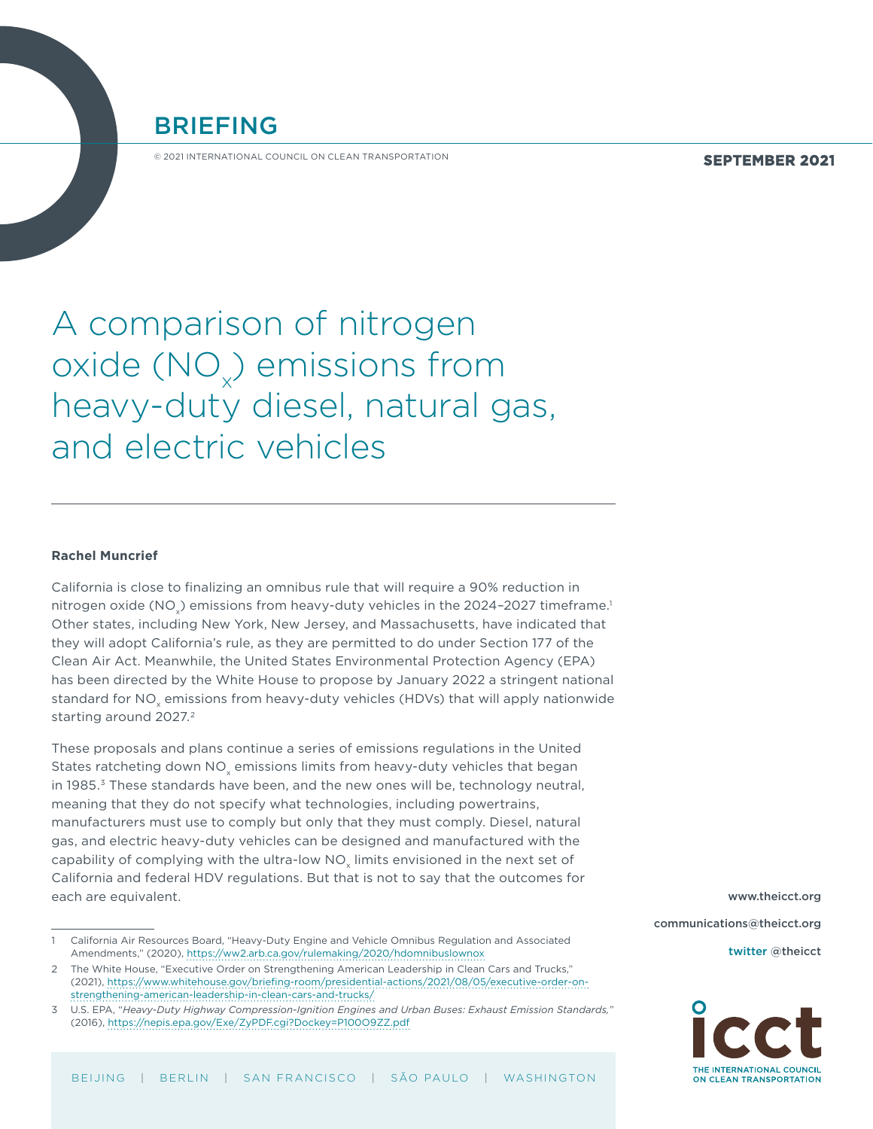

© 2021 INTERNATIONAL COUNCIL ON CLEAN TRANSPORTATION

**SEPTEMBER 2021**

# A comparison of nitrogen oxide (NO $_{\!\times}$ ) emissions from heavy-duty diesel, natural gas, and electric vehicles

#### **Rachel Muncrief**

California is close to finalizing an omnibus rule that will require a 90% reduction in nitrogen oxide (NO $_{\tiny \times}$ ) emissions from heavy-duty vehicles in the 2024–2027 timeframe. $^1$ Other states, including New York, New Jersey, and Massachusetts, have indicated that they will adopt California's rule, as they are permitted to do under Section 177 of the Clean Air Act. Meanwhile, the United States Environmental Protection Agency (EPA) has been directed by the White House to propose by January 2022 a stringent national standard for NO<sub>y</sub> emissions from heavy-duty vehicles (HDVs) that will apply nationwide starting around 2027.<sup>2</sup>

These proposals and plans continue a series of emissions regulations in the United States ratcheting down NO<sub>v</sub> emissions limits from heavy-duty vehicles that began in 1985.3 These standards have been, and the new ones will be, technology neutral, meaning that they do not specify what technologies, including powertrains, manufacturers must use to comply but only that they must comply. Diesel, natural gas, and electric heavy-duty vehicles can be designed and manufactured with the capability of complying with the ultra-low NO<sub>v</sub> limits envisioned in the next set of California and federal HDV regulations. But that is not to say that the outcomes for each are equivalent.

[www.theicct.org](http://www.theicct.org) [communications@theicct.org](mailto:communications%40theicct.org%20%20%20%20?subject=)

twitter @[theicct](https://twitter.com/TheICCT)



<sup>1</sup> California Air Resources Board, "Heavy-Duty Engine and Vehicle Omnibus Regulation and Associated Amendments," (2020),<https://ww2.arb.ca.gov/rulemaking/2020/hdomnibuslownox>

<sup>2</sup> The White House, "Executive Order on Strengthening American Leadership in Clean Cars and Trucks," (2021), [https://www.whitehouse.gov/briefing-room/presidential-actions/2021/08/05/executive-order-on](https://www.whitehouse.gov/briefing-room/presidential-actions/2021/08/05/executive-order-on-strengthening-american-leadership-in-clean-cars-and-trucks/)[strengthening-american-leadership-in-clean-cars-and-trucks/](https://www.whitehouse.gov/briefing-room/presidential-actions/2021/08/05/executive-order-on-strengthening-american-leadership-in-clean-cars-and-trucks/)

<sup>3</sup> U.S. EPA, "*Heavy-Duty Highway Compression-Ignition Engines and Urban Buses: Exhaust Emission Standards,"* (2016), <https://nepis.epa.gov/Exe/ZyPDF.cgi?Dockey=P100O9ZZ.pdf>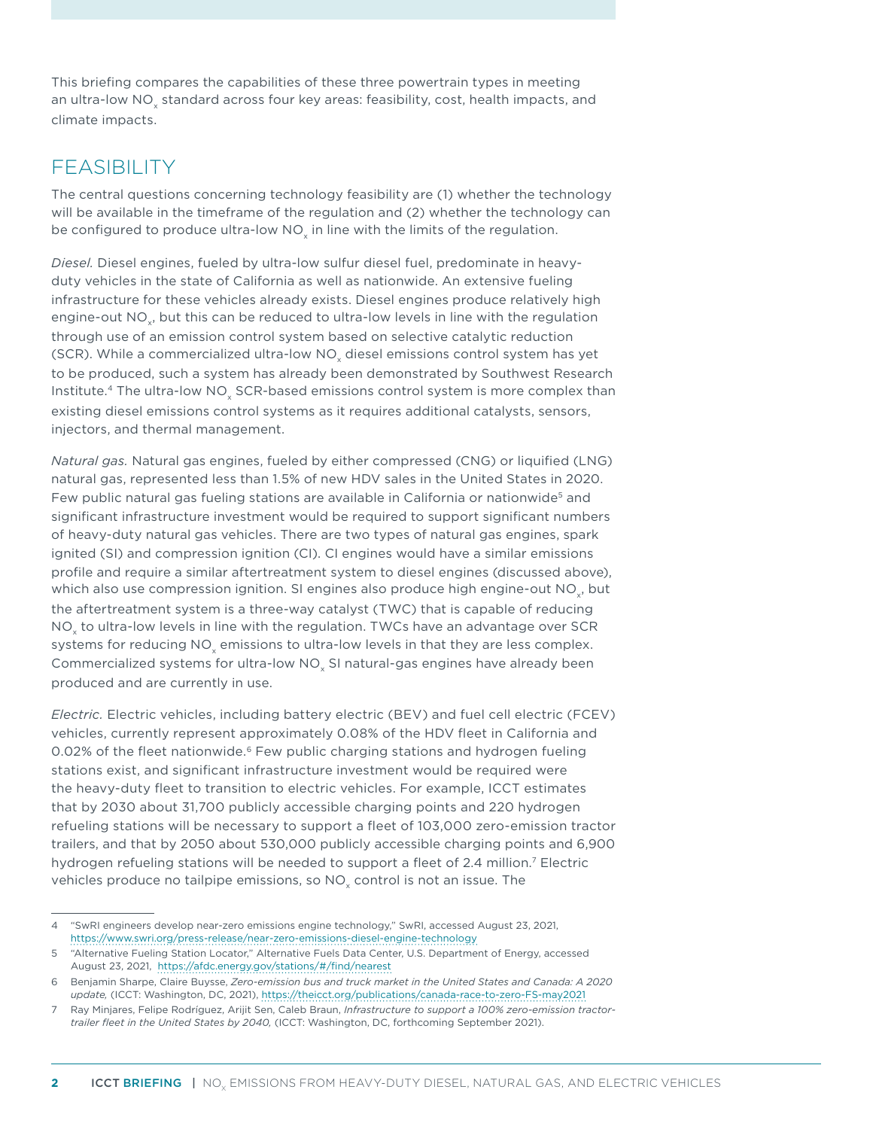This briefing compares the capabilities of these three powertrain types in meeting an ultra-low NO $_{\sf x}$  standard across four key areas: feasibility, cost, health impacts, and climate impacts.

### FEASIBILITY

The central questions concerning technology feasibility are (1) whether the technology will be available in the timeframe of the regulation and (2) whether the technology can be configured to produce ultra-low NO $_{\sf x}$  in line with the limits of the regulation.

*Diesel.* Diesel engines, fueled by ultra-low sulfur diesel fuel, predominate in heavyduty vehicles in the state of California as well as nationwide. An extensive fueling infrastructure for these vehicles already exists. Diesel engines produce relatively high engine-out NO $_{\sf x}$ , but this can be reduced to ultra-low levels in line with the regulation through use of an emission control system based on selective catalytic reduction (SCR). While a commercialized ultra-low NO $_{\mathrm{\mathsf{x}}}$  diesel emissions control system has yet to be produced, such a system has already been demonstrated by Southwest Research Institute.<sup>4</sup> The ultra-low NO<sub>x</sub> SCR-based emissions control system is more complex than existing diesel emissions control systems as it requires additional catalysts, sensors, injectors, and thermal management.

*Natural gas.* Natural gas engines, fueled by either compressed (CNG) or liquified (LNG) natural gas, represented less than 1.5% of new HDV sales in the United States in 2020. Few public natural gas fueling stations are available in California or nationwide<sup>5</sup> and significant infrastructure investment would be required to support significant numbers of heavy-duty natural gas vehicles. There are two types of natural gas engines, spark ignited (SI) and compression ignition (CI). CI engines would have a similar emissions profile and require a similar aftertreatment system to diesel engines (discussed above), which also use compression ignition. SI engines also produce high engine-out NO $_{\mathrm{x}}$ , but the aftertreatment system is a three-way catalyst (TWC) that is capable of reducing NO $_{\sf x}$  to ultra-low levels in line with the regulation. TWCs have an advantage over SCR systems for reducing NO $_{\mathrm{x}}$  emissions to ultra-low levels in that they are less complex. Commercialized systems for ultra-low  $\mathsf{NO}_{\mathsf{x}}$  SI natural-gas engines have already been produced and are currently in use.

*Electric.* Electric vehicles, including battery electric (BEV) and fuel cell electric (FCEV) vehicles, currently represent approximately 0.08% of the HDV fleet in California and 0.02% of the fleet nationwide.<sup>6</sup> Few public charging stations and hydrogen fueling stations exist, and significant infrastructure investment would be required were the heavy-duty fleet to transition to electric vehicles. For example, ICCT estimates that by 2030 about 31,700 publicly accessible charging points and 220 hydrogen refueling stations will be necessary to support a fleet of 103,000 zero-emission tractor trailers, and that by 2050 about 530,000 publicly accessible charging points and 6,900 hydrogen refueling stations will be needed to support a fleet of 2.4 million.<sup>7</sup> Electric vehicles produce no tailpipe emissions, so NO $_{\mathrm{x}}$  control is not an issue. The

<sup>4</sup> "SwRI engineers develop near-zero emissions engine technology," SwRI, accessed August 23, 2021, <https://www.swri.org/press-release/near-zero-emissions-diesel-engine-technology>

<sup>5</sup> "Alternative Fueling Station Locator," Alternative Fuels Data Center, U.S. Department of Energy, accessed August 23, 2021, <https://afdc.energy.gov/stations/#/find/nearest>

<sup>6</sup> Benjamin Sharpe, Claire Buysse, *Zero-emission bus and truck market in the United States and Canada: A 2020 update,* (ICCT: Washington, DC, 2021),<https://theicct.org/publications/canada-race-to-zero-FS-may2021>

<sup>7</sup> Ray Minjares, Felipe Rodríguez, Arijit Sen, Caleb Braun, *Infrastructure to support a 100% zero-emission tractortrailer fleet in the United States by 2040,* (ICCT: Washington, DC, forthcoming September 2021).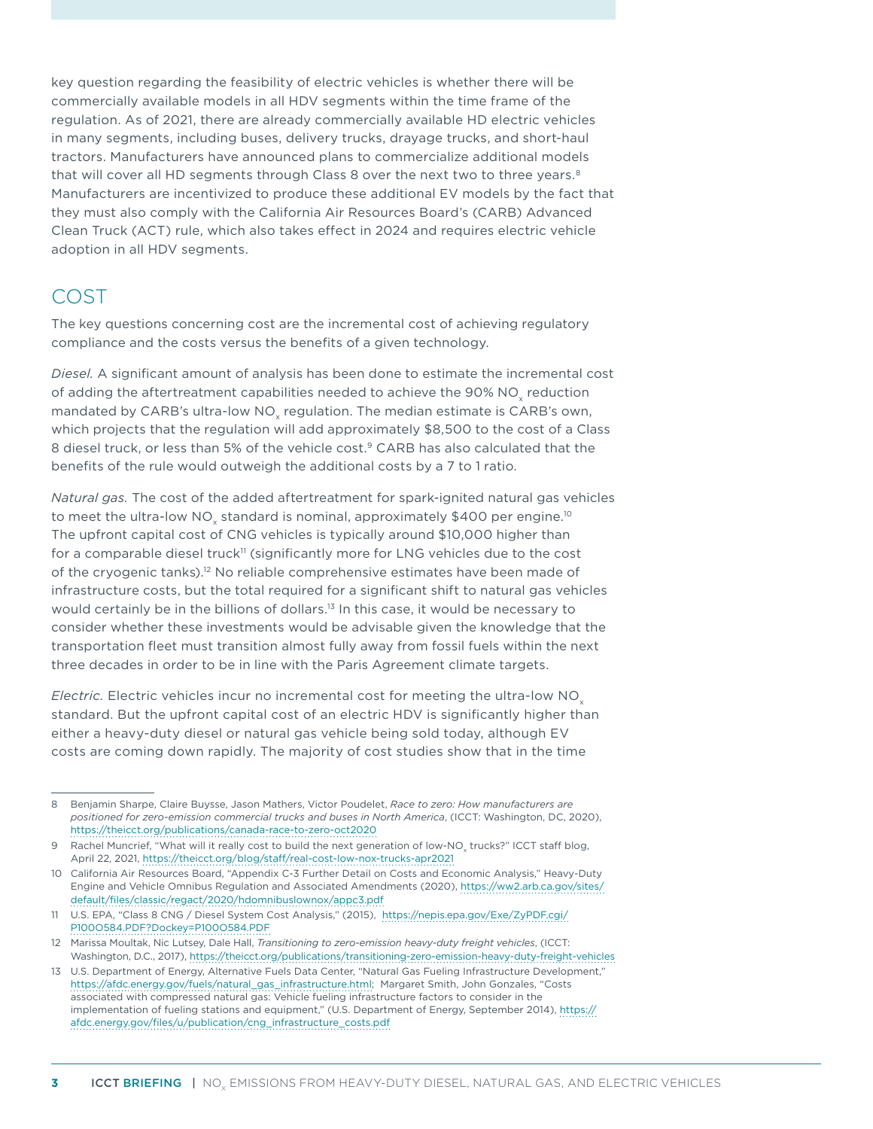key question regarding the feasibility of electric vehicles is whether there will be commercially available models in all HDV segments within the time frame of the regulation. As of 2021, there are already commercially available HD electric vehicles in many segments, including buses, delivery trucks, drayage trucks, and short-haul tractors. Manufacturers have announced plans to commercialize additional models that will cover all HD segments through Class 8 over the next two to three years.<sup>8</sup> Manufacturers are incentivized to produce these additional EV models by the fact that they must also comply with the California Air Resources Board's (CARB) Advanced Clean Truck (ACT) rule, which also takes effect in 2024 and requires electric vehicle adoption in all HDV segments.

#### COST

The key questions concerning cost are the incremental cost of achieving regulatory compliance and the costs versus the benefits of a given technology.

*Diesel.* A significant amount of analysis has been done to estimate the incremental cost of adding the aftertreatment capabilities needed to achieve the 90% NO<sub>v</sub> reduction mandated by CARB's ultra-low NO<sub>y</sub> regulation. The median estimate is CARB's own, which projects that the regulation will add approximately \$8,500 to the cost of a Class 8 diesel truck, or less than 5% of the vehicle cost.<sup>9</sup> CARB has also calculated that the benefits of the rule would outweigh the additional costs by a 7 to 1 ratio.

*Natural gas.* The cost of the added aftertreatment for spark-ignited natural gas vehicles to meet the ultra-low NO<sub>y</sub> standard is nominal, approximately \$400 per engine.<sup>10</sup> The upfront capital cost of CNG vehicles is typically around \$10,000 higher than for a comparable diesel truck<sup>11</sup> (significantly more for LNG vehicles due to the cost of the cryogenic tanks).12 No reliable comprehensive estimates have been made of infrastructure costs, but the total required for a significant shift to natural gas vehicles would certainly be in the billions of dollars.<sup>13</sup> In this case, it would be necessary to consider whether these investments would be advisable given the knowledge that the transportation fleet must transition almost fully away from fossil fuels within the next three decades in order to be in line with the Paris Agreement climate targets.

*Electric.* Electric vehicles incur no incremental cost for meeting the ultra-low NO<sub>y</sub> standard. But the upfront capital cost of an electric HDV is significantly higher than either a heavy-duty diesel or natural gas vehicle being sold today, although EV costs are coming down rapidly. The majority of cost studies show that in the time

<sup>8</sup> Benjamin Sharpe, Claire Buysse, Jason Mathers, Victor Poudelet, *Race to zero: How manufacturers are positioned for zero-emission commercial trucks and buses in North America*, (ICCT: Washington, DC, 2020), <https://theicct.org/publications/canada-race-to-zero-oct2020>

<sup>9</sup> Rachel Muncrief, "What will it really cost to build the next generation of low-NO<sub>x</sub> trucks?" ICCT staff blog, April 22, 2021,<https://theicct.org/blog/staff/real-cost-low-nox-trucks-apr2021>

<sup>10</sup> California Air Resources Board, "Appendix C-3 Further Detail on Costs and Economic Analysis," Heavy-Duty Engine and Vehicle Omnibus Regulation and Associated Amendments (2020), [https://ww2.arb.ca.gov/sites/](https://ww2.arb.ca.gov/sites/default/files/classic/regact/2020/hdomnibuslownox/appc3.pdf) [default/files/classic/regact/2020/hdomnibuslownox/appc3.pdf](https://ww2.arb.ca.gov/sites/default/files/classic/regact/2020/hdomnibuslownox/appc3.pdf)

<sup>11</sup> U.S. EPA, "Class 8 CNG / Diesel System Cost Analysis," (2015), [https://nepis.epa.gov/Exe/ZyPDF.cgi/](https://nepis.epa.gov/Exe/ZyPDF.cgi/P100O584.PDF?Dockey=P100O584.PDF) [P100O584.PDF?Dockey=P100O584.PDF](https://nepis.epa.gov/Exe/ZyPDF.cgi/P100O584.PDF?Dockey=P100O584.PDF)

<sup>12</sup> Marissa Moultak, Nic Lutsey, Dale Hall, *Transitioning to zero-emission heavy-duty freight vehicles*, (ICCT: Washington, D.C., 2017),<https://theicct.org/publications/transitioning-zero-emission-heavy-duty-freight-vehicles>

<sup>13</sup> U.S. Department of Energy, Alternative Fuels Data Center, "Natural Gas Fueling Infrastructure Development," [https://afdc.energy.gov/fuels/natural\\_gas\\_infrastructure.html;](https://afdc.energy.gov/fuels/natural_gas_infrastructure.html) Margaret Smith, John Gonzales, "Costs associated with compressed natural gas: Vehicle fueling infrastructure factors to consider in the implementation of fueling stations and equipment," (U.S. Department of Energy, September 2014), [https://](https://afdc.energy.gov/files/u/publication/cng_infrastructure_costs.pdf) [afdc.energy.gov/files/u/publication/cng\\_infrastructure\\_costs.pdf](https://afdc.energy.gov/files/u/publication/cng_infrastructure_costs.pdf)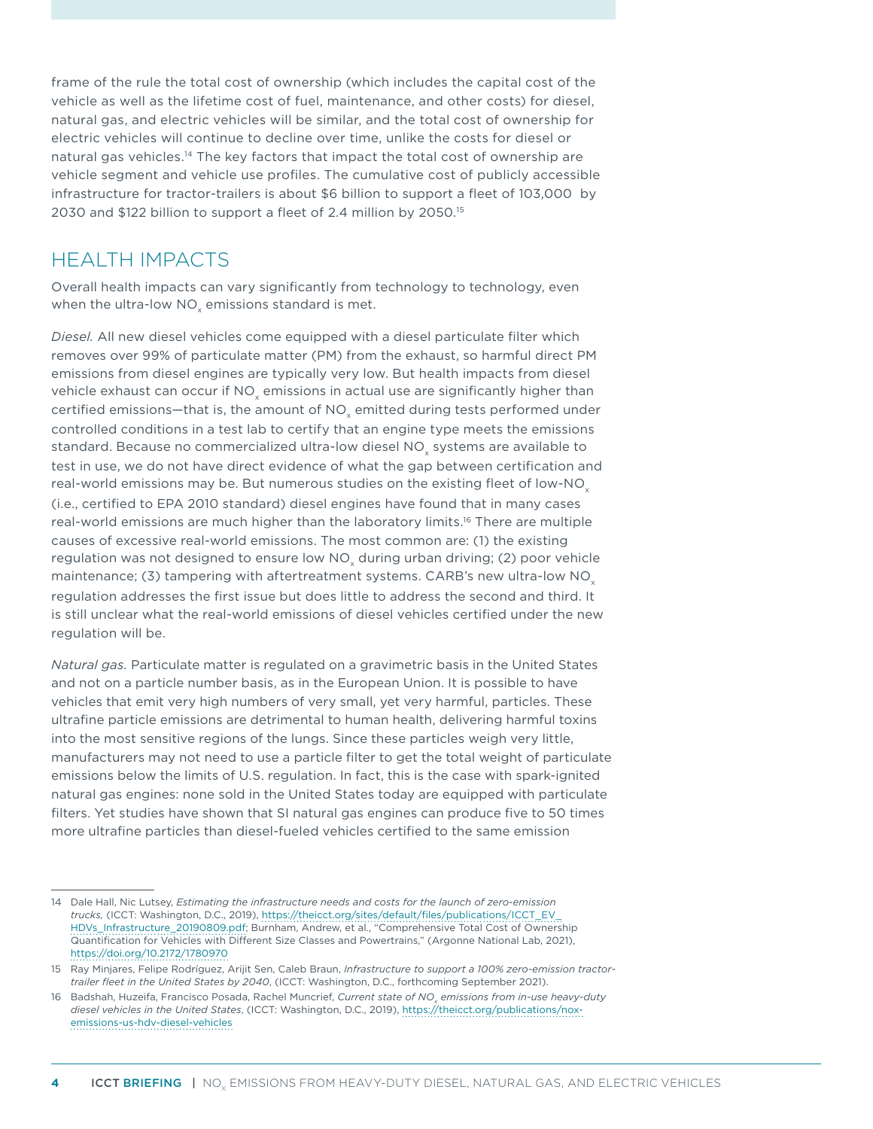frame of the rule the total cost of ownership (which includes the capital cost of the vehicle as well as the lifetime cost of fuel, maintenance, and other costs) for diesel, natural gas, and electric vehicles will be similar, and the total cost of ownership for electric vehicles will continue to decline over time, unlike the costs for diesel or natural gas vehicles.<sup>14</sup> The key factors that impact the total cost of ownership are vehicle segment and vehicle use profiles. The cumulative cost of publicly accessible infrastructure for tractor-trailers is about \$6 billion to support a fleet of 103,000 by 2030 and \$122 billion to support a fleet of 2.4 million by 2050.<sup>15</sup>

#### HEALTH IMPACTS

Overall health impacts can vary significantly from technology to technology, even when the ultra-low NO $_{\mathrm{\mathsf{x}}}$  emissions standard is met.

*Diesel.* All new diesel vehicles come equipped with a diesel particulate filter which removes over 99% of particulate matter (PM) from the exhaust, so harmful direct PM emissions from diesel engines are typically very low. But health impacts from diesel vehicle exhaust can occur if NO $_{\sf x}$  emissions in actual use are significantly higher than certified emissions—that is, the amount of NO $_{\mathrm{\mathsf{x}}}$  emitted during tests performed under controlled conditions in a test lab to certify that an engine type meets the emissions standard. Because no commercialized ultra-low diesel NO $_{\mathrm{\mathsf{x}}}$  systems are available to test in use, we do not have direct evidence of what the gap between certification and real-world emissions may be. But numerous studies on the existing fleet of low-NO<sub>x</sub> (i.e., certified to EPA 2010 standard) diesel engines have found that in many cases real-world emissions are much higher than the laboratory limits.<sup>16</sup> There are multiple causes of excessive real-world emissions. The most common are: (1) the existing regulation was not designed to ensure low NO<sub>x</sub> during urban driving; (2) poor vehicle maintenance; (3) tampering with aftertreatment systems. CARB's new ultra-low  $NO<sub>x</sub>$ regulation addresses the first issue but does little to address the second and third. It is still unclear what the real-world emissions of diesel vehicles certified under the new regulation will be.

*Natural gas.* Particulate matter is regulated on a gravimetric basis in the United States and not on a particle number basis, as in the European Union. It is possible to have vehicles that emit very high numbers of very small, yet very harmful, particles. These ultrafine particle emissions are detrimental to human health, delivering harmful toxins into the most sensitive regions of the lungs. Since these particles weigh very little, manufacturers may not need to use a particle filter to get the total weight of particulate emissions below the limits of U.S. regulation. In fact, this is the case with spark-ignited natural gas engines: none sold in the United States today are equipped with particulate filters. Yet studies have shown that SI natural gas engines can produce five to 50 times more ultrafine particles than diesel-fueled vehicles certified to the same emission

<sup>14</sup> Dale Hall, Nic Lutsey, *Estimating the infrastructure needs and costs for the launch of zero-emission trucks,* (ICCT: Washington, D.C., 2019), [https://theicct.org/sites/default/files/publications/ICCT\\_EV\\_](https://theicct.org/sites/default/files/publications/ICCT_EV_HDVs_Infrastructure_20190809.pdf) [HDVs\\_Infrastructure\\_20190809.pdf](https://theicct.org/sites/default/files/publications/ICCT_EV_HDVs_Infrastructure_20190809.pdf); Burnham, Andrew, et al., "Comprehensive Total Cost of Ownership Quantification for Vehicles with Different Size Classes and Powertrains," (Argonne National Lab, 2021), <https://doi.org/10.2172/1780970>

<sup>15</sup> Ray Minjares, Felipe Rodríguez, Arijit Sen, Caleb Braun, *Infrastructure to support a 100% zero-emission tractortrailer fleet in the United States by 2040*, (ICCT: Washington, D.C., forthcoming September 2021).

<sup>16</sup> Badshah, Huzeifa, Francisco Posada, Rachel Muncrief, *Current state of NO<sub>x</sub> emissions from in-use heavy-duty diesel vehicles in the United States*, (ICCT: Washington, D.C., 2019), [https://theicct.org/publications/nox](https://theicct.org/publications/nox-emissions-us-hdv-diesel-vehicles)[emissions-us-hdv-diesel-vehicles](https://theicct.org/publications/nox-emissions-us-hdv-diesel-vehicles)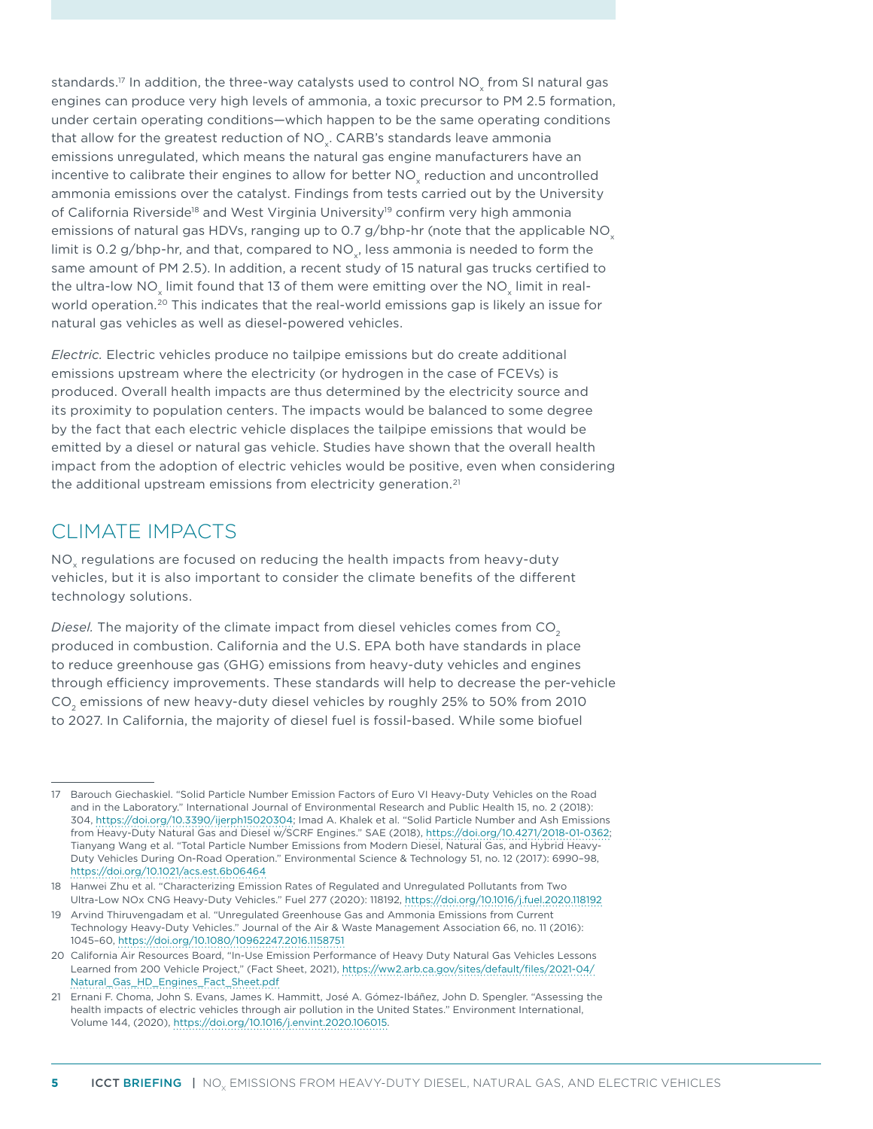standards.17 In addition, the three-way catalysts used to control NO $_{\mathrm{\mathsf{x}}}$  from SI natural gas engines can produce very high levels of ammonia, a toxic precursor to PM 2.5 formation, under certain operating conditions—which happen to be the same operating conditions that allow for the greatest reduction of NO<sub>y</sub>. CARB's standards leave ammonia emissions unregulated, which means the natural gas engine manufacturers have an incentive to calibrate their engines to allow for better NO $_{\mathrm{\mathsf{x}}}$  reduction and uncontrolled ammonia emissions over the catalyst. Findings from tests carried out by the University of California Riverside<sup>18</sup> and West Virginia University<sup>19</sup> confirm very high ammonia emissions of natural gas HDVs, ranging up to 0.7 g/bhp-hr (note that the applicable NO $_{\circ}$ limit is 0.2 g/bhp-hr, and that, compared to  $NO<sub>v</sub>$ , less ammonia is needed to form the same amount of PM 2.5). In addition, a recent study of 15 natural gas trucks certified to the ultra-low NO $_{\mathrm{\mathsf{x}}}$  limit found that 13 of them were emitting over the NO $_{\mathrm{\mathsf{x}}}$  limit in realworld operation.<sup>20</sup> This indicates that the real-world emissions gap is likely an issue for natural gas vehicles as well as diesel-powered vehicles.

*Electric.* Electric vehicles produce no tailpipe emissions but do create additional emissions upstream where the electricity (or hydrogen in the case of FCEVs) is produced. Overall health impacts are thus determined by the electricity source and its proximity to population centers. The impacts would be balanced to some degree by the fact that each electric vehicle displaces the tailpipe emissions that would be emitted by a diesel or natural gas vehicle. Studies have shown that the overall health impact from the adoption of electric vehicles would be positive, even when considering the additional upstream emissions from electricity generation.<sup>21</sup>

### CLIMATE IMPACTS

NO regulations are focused on reducing the health impacts from heavy-duty vehicles, but it is also important to consider the climate benefits of the different technology solutions.

*Diesel.* The majority of the climate impact from diesel vehicles comes from CO<sub>2</sub> produced in combustion. California and the U.S. EPA both have standards in place to reduce greenhouse gas (GHG) emissions from heavy-duty vehicles and engines through efficiency improvements. These standards will help to decrease the per-vehicle CO2 emissions of new heavy-duty diesel vehicles by roughly 25% to 50% from 2010 to 2027. In California, the majority of diesel fuel is fossil-based. While some biofuel

<sup>17</sup> Barouch Giechaskiel. "Solid Particle Number Emission Factors of Euro VI Heavy-Duty Vehicles on the Road and in the Laboratory." International Journal of Environmental Research and Public Health 15, no. 2 (2018): 304, [https://doi.org/10.3390/ijerph15020304;](https://doi.org/10.3390/ijerph15020304) Imad A. Khalek et al. "Solid Particle Number and Ash Emissions from Heavy-Duty Natural Gas and Diesel w/SCRF Engines." SAE (2018), <https://doi.org/10.4271/2018-01-0362>; Tianyang Wang et al. "Total Particle Number Emissions from Modern Diesel, Natural Gas, and Hybrid Heavy-Duty Vehicles During On-Road Operation." Environmental Science & Technology 51, no. 12 (2017): 6990–98, <https://doi.org/10.1021/acs.est.6b06464>

<sup>18</sup> Hanwei Zhu et al. "Characterizing Emission Rates of Regulated and Unregulated Pollutants from Two Ultra-Low NOx CNG Heavy-Duty Vehicles." Fuel 277 (2020): 118192,<https://doi.org/10.1016/j.fuel.2020.118192>

<sup>19</sup> Arvind Thiruvengadam et al. "Unregulated Greenhouse Gas and Ammonia Emissions from Current Technology Heavy-Duty Vehicles." Journal of the Air & Waste Management Association 66, no. 11 (2016): 1045–60, <https://doi.org/10.1080/10962247.2016.1158751>

<sup>20</sup> California Air Resources Board, "In-Use Emission Performance of Heavy Duty Natural Gas Vehicles Lessons Learned from 200 Vehicle Project," (Fact Sheet, 2021), [https://ww2.arb.ca.gov/sites/default/files/2021-04/](https://ww2.arb.ca.gov/sites/default/files/2021-04/Natural_Gas_HD_Engines_Fact_Sheet.pdf) [Natural\\_Gas\\_HD\\_Engines\\_Fact\\_Sheet.pdf](https://ww2.arb.ca.gov/sites/default/files/2021-04/Natural_Gas_HD_Engines_Fact_Sheet.pdf)

<sup>21</sup> Ernani F. Choma, John S. Evans, James K. Hammitt, José A. Gómez-Ibáñez, John D. Spengler. "Assessing the health impacts of electric vehicles through air pollution in the United States." Environment International, Volume 144, (2020), [https://doi.org/10.1016/j.envint.2020.106015.](https://doi.org/10.1016/j.envint.2020.106015)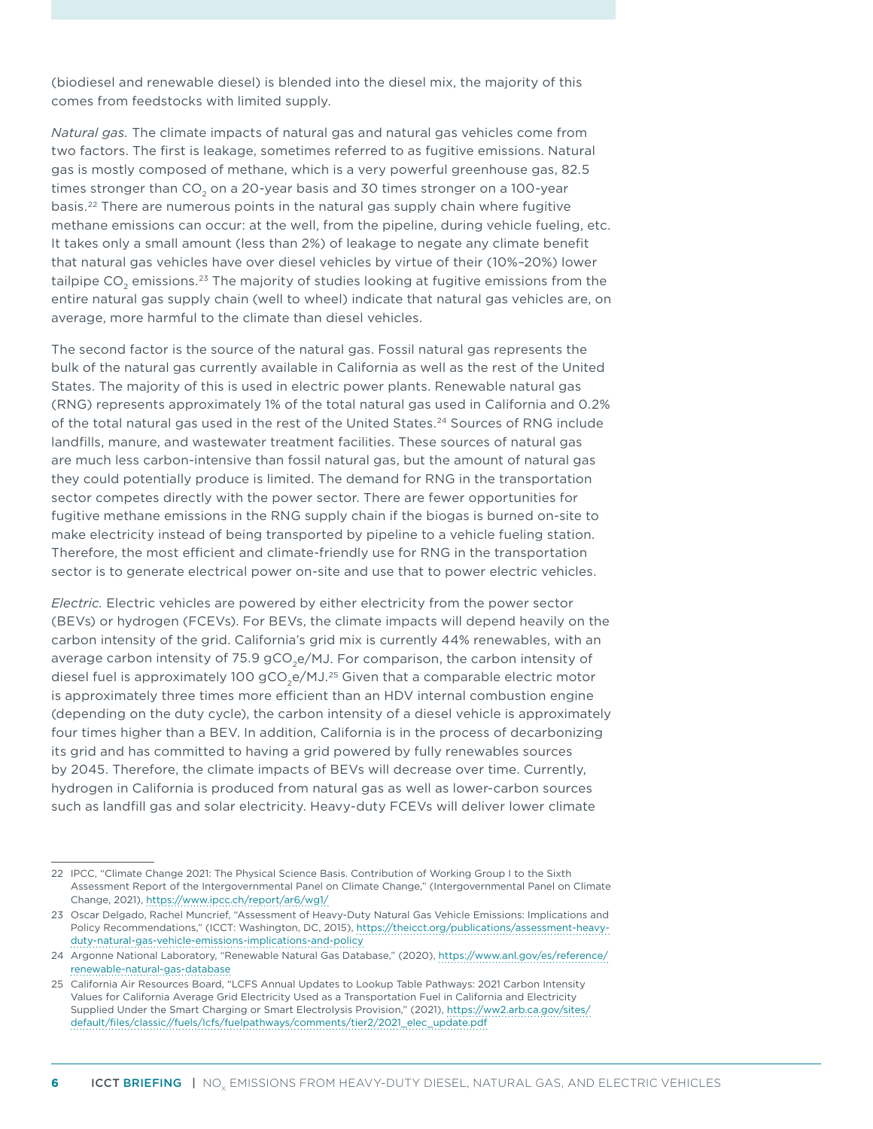(biodiesel and renewable diesel) is blended into the diesel mix, the majority of this comes from feedstocks with limited supply.

*Natural gas.* The climate impacts of natural gas and natural gas vehicles come from two factors. The first is leakage, sometimes referred to as fugitive emissions. Natural gas is mostly composed of methane, which is a very powerful greenhouse gas, 82.5 times stronger than  $CO<sub>2</sub>$  on a 20-year basis and 30 times stronger on a 100-year basis.22 There are numerous points in the natural gas supply chain where fugitive methane emissions can occur: at the well, from the pipeline, during vehicle fueling, etc. It takes only a small amount (less than 2%) of leakage to negate any climate benefit that natural gas vehicles have over diesel vehicles by virtue of their (10%–20%) lower tailpipe  $CO<sub>2</sub>$  emissions.<sup>23</sup> The majority of studies looking at fugitive emissions from the entire natural gas supply chain (well to wheel) indicate that natural gas vehicles are, on average, more harmful to the climate than diesel vehicles.

The second factor is the source of the natural gas. Fossil natural gas represents the bulk of the natural gas currently available in California as well as the rest of the United States. The majority of this is used in electric power plants. Renewable natural gas (RNG) represents approximately 1% of the total natural gas used in California and 0.2% of the total natural gas used in the rest of the United States.24 Sources of RNG include landfills, manure, and wastewater treatment facilities. These sources of natural gas are much less carbon-intensive than fossil natural gas, but the amount of natural gas they could potentially produce is limited. The demand for RNG in the transportation sector competes directly with the power sector. There are fewer opportunities for fugitive methane emissions in the RNG supply chain if the biogas is burned on-site to make electricity instead of being transported by pipeline to a vehicle fueling station. Therefore, the most efficient and climate-friendly use for RNG in the transportation sector is to generate electrical power on-site and use that to power electric vehicles.

*Electric.* Electric vehicles are powered by either electricity from the power sector (BEVs) or hydrogen (FCEVs). For BEVs, the climate impacts will depend heavily on the carbon intensity of the grid. California's grid mix is currently 44% renewables, with an average carbon intensity of 75.9  $gCO,e/MJ$ . For comparison, the carbon intensity of diesel fuel is approximately 100  $gCO<sub>2</sub>e/MJ<sup>25</sup>$  Given that a comparable electric motor is approximately three times more efficient than an HDV internal combustion engine (depending on the duty cycle), the carbon intensity of a diesel vehicle is approximately four times higher than a BEV. In addition, California is in the process of decarbonizing its grid and has committed to having a grid powered by fully renewables sources by 2045. Therefore, the climate impacts of BEVs will decrease over time. Currently, hydrogen in California is produced from natural gas as well as lower-carbon sources such as landfill gas and solar electricity. Heavy-duty FCEVs will deliver lower climate

<sup>22</sup> IPCC, "Climate Change 2021: The Physical Science Basis. Contribution of Working Group I to the Sixth Assessment Report of the Intergovernmental Panel on Climate Change," (Intergovernmental Panel on Climate Change, 2021), <https://www.ipcc.ch/report/ar6/wg1/>

<sup>23</sup> Oscar Delgado, Rachel Muncrief, "Assessment of Heavy-Duty Natural Gas Vehicle Emissions: Implications and Policy Recommendations," (ICCT: Washington, DC, 2015), https://theicct.org/publications/assessment-heavyduty-natural-gas-vehicle-emissions-implications-and-policy

<sup>24</sup> Argonne National Laboratory, "Renewable Natural Gas Database," (2020), [https://www.anl.gov/es/reference/](https://www.anl.gov/es/reference/renewable-natural-gas-database) [renewable-natural-gas-database](https://www.anl.gov/es/reference/renewable-natural-gas-database) 

<sup>25</sup> California Air Resources Board, "LCFS Annual Updates to Lookup Table Pathways: 2021 Carbon Intensity Values for California Average Grid Electricity Used as a Transportation Fuel in California and Electricity Supplied Under the Smart Charging or Smart Electrolysis Provision," (2021), [https://ww2.arb.ca.gov/sites/](https://ww2.arb.ca.gov/sites/default/files/classic//fuels/lcfs/fuelpathways/comments/tier2/2021_elec_update.pdf) [default/files/classic//fuels/lcfs/fuelpathways/comments/tier2/2021\\_elec\\_update.pdf](https://ww2.arb.ca.gov/sites/default/files/classic//fuels/lcfs/fuelpathways/comments/tier2/2021_elec_update.pdf)